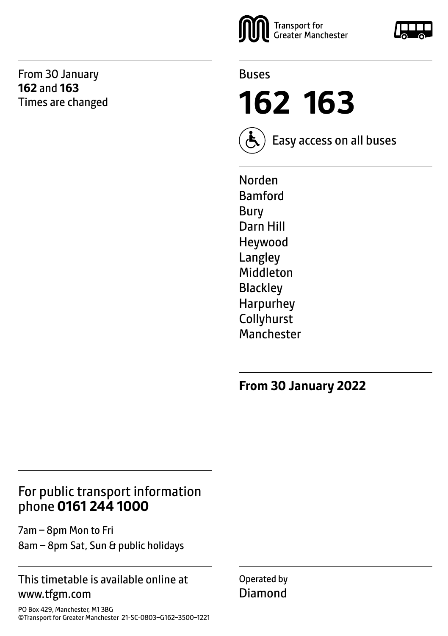From 30 January **162** and **163** Times are changed





**162 163**



Easy access on all buses

Norden Bamford Bury Darn Hill Heywood Langley Middleton Blackley Harpurhey Collyhurst Manchester

**From 30 January 2022**

# For public transport information phone **0161 244 1000**

7am – 8pm Mon to Fri 8am – 8pm Sat, Sun & public holidays

### This timetable is available online at www.tfgm.com

PO Box 429, Manchester, M1 3BG ©Transport for Greater Manchester 21-SC-0803–G162–3500–1221 Operated by Diamond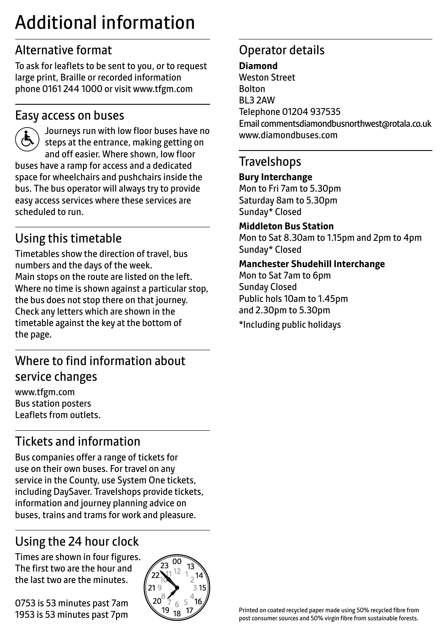# Additional information

# Alternative format

To ask for leaflets to be sent to you, or to request large print, Braille or recorded information phone 0161 244 1000 or visit www.tfgm.com

### Easy access on buses



 Journeys run with low floor buses have no steps at the entrance, making getting on and off easier. Where shown, low floor buses have a ramp for access and a dedicated space for wheelchairs and pushchairs inside the bus. The bus operator will always try to provide easy access services where these services are scheduled to run.

# Using this timetable

Timetables show the direction of travel, bus numbers and the days of the week. Main stops on the route are listed on the left. Where no time is shown against a particular stop, the bus does not stop there on that journey. Check any letters which are shown in the timetable against the key at the bottom of the page.

# Where to find information about service changes

www.tfgm.com Bus station posters Leaflets from outlets.

# Tickets and information

Bus companies offer a range of tickets for use on their own buses. For travel on any service in the County, use System One tickets, including DaySaver. Travelshops provide tickets, information and journey planning advice on buses, trains and trams for work and pleasure.

# Using the 24 hour clock

Times are shown in four figures. The first two are the hour and the last two are the minutes.

0753 is 53 minutes past 7am 1953 is 53 minutes past 7pm



# Operator details

#### **Diamond**

Weston Street Bolton BL3 2AW Telephone 01204 937535 Email commentsdiamondbusnorthwest@rotala.co.uk www.diamondbuses.com

### **Travelshops**

#### **Bury Interchange**

Mon to Fri 7am to 5.30pm Saturday 8am to 5.30pm Sunday\* Closed

#### **Middleton Bus Station**

Mon to Sat 8.30am to 1.15pm and 2pm to 4pm Sunday\* Closed

#### **Manchester Shudehill Interchange**

Mon to Sat 7am to 6pm Sunday Closed Public hols 10am to 1.45pm and 2.30pm to 5.30pm \*Including public holidays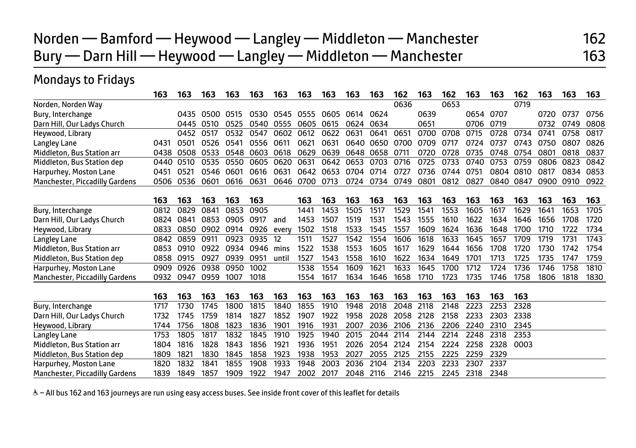# Norden — Bamford — Heywood — Langley — Middleton — Manchester 162 Bury — Darn Hill — Heywood — Langley — Middleton — Manchester 163

# Mondays to Fridays

|                                | 163  | 163  | 163  | 163  | 163  | 163   | 163       | 163  | 163  | 163              | 162  | 163  | 162  | 163  | 163  | 162  | 163  | 163  | 163  |
|--------------------------------|------|------|------|------|------|-------|-----------|------|------|------------------|------|------|------|------|------|------|------|------|------|
| Norden, Norden Way             |      |      |      |      |      |       |           |      |      |                  | 0636 |      | 0653 |      |      | 0719 |      |      |      |
| Bury, Interchange              |      | 0435 | 0500 | 0515 | 0530 |       | 0545 0555 | 0605 | 0614 | 0624             |      | 0639 |      | 0654 | 0707 |      | 0720 | 0737 | 0756 |
| Darn Hill, Our Ladys Church    |      | 0445 | 0510 | 0525 | 0540 | 0555  | 0605      | 0615 | 0624 | 0634             |      | 0651 |      | 0706 | 0719 |      | 0732 | 0749 | 0808 |
| Heywood, Library               |      | 0452 | 0517 | 0532 | 0547 | 0602  | 0612      | 0622 | 0631 | 0641             | 0651 | 0700 | 0708 | 0715 | 0728 | 0734 | 0741 | 0758 | 0817 |
| Langley Lane                   | 0431 | 0501 | 0526 | 0541 | 0556 | 0611  | 0621      | 0631 |      | 0640 0650        | 0700 | 0709 | 0717 | 0724 | 0737 | 0743 | 0750 | 0807 | 0826 |
| Middleton, Bus Station arr     | 0438 | 0508 | 0533 | 0548 | 0603 | 0618  | 0629      | 0639 |      | 0648 0658        | 0711 | 0720 | 0728 | 0735 | 0748 | 0754 | 0801 | 0818 | 0837 |
| Middleton, Bus Station dep     | 0440 | 0510 | 0535 | 0550 | 0605 | 0620  | 0631      | 0642 | 0653 | 0703             | 0716 | 0725 | 0733 | 0740 | 0753 | 0759 | 0806 | 0823 | 0842 |
| Harpurhey, Moston Lane         | 0451 | 0521 | 0546 | 0601 | 0616 | 0631  | 0642      | 0653 | 0704 | 0714             | 0727 | 0736 | 0744 | 0751 | 0804 | 0810 | 0817 | 0834 | 0853 |
| Manchester, Piccadilly Gardens | 0506 | 0536 | 0601 | 0616 | 0631 | 0646  | 0700      | 0713 | 0724 | 0734             | 0749 | 0801 | 0812 | 0827 | 0840 | 0847 | 0900 | 0910 | 0922 |
|                                | 163  | 163  | 163  | 163  | 163  |       | 163       | 163  | 163  | 163              | 163  | 163  | 163  | 163  | 163  | 163  | 163  | 163  | 163  |
| Bury, Interchange              | 0812 | 0829 | 0841 | 0853 | 0905 |       | 1441      | 1453 | 1505 | 1517             | 1529 | 1541 | 1553 | 1605 | 1617 | 1629 | 1641 | 1653 | 1705 |
| Darn Hill, Our Ladys Church    | 0824 | 0841 | 0853 | 0905 | 0917 | and   | 1453      | 1507 | 1519 | 1531             | 1543 | 1555 | 1610 | 1622 | 1634 | 1646 | 1656 | 1708 | 1720 |
| Heywood, Library               | 0833 | 0850 | 0902 | 0914 | 0926 | every | 1502      | 1518 | 1533 | 1545             | 1557 | 1609 | 1624 | 1636 | 1648 | 1700 | 1710 | 1722 | 1734 |
| Langley Lane                   | 0842 | 0859 | 0911 | 0923 | 0935 | 12    | 1511      | 1527 | 1542 | 1554             | 1606 | 1618 | 1633 | 1645 | 1657 | 1709 | 1719 | 1731 | 1743 |
| Middleton, Bus Station arr     | 0853 | 0910 | 0922 | 0934 | 0946 | mins  | 1522      | 1538 | 1553 | 1605             | 1617 | 1629 | 1644 | 1656 | 1708 | 1720 | 1730 | 1742 | 1754 |
| Middleton, Bus Station dep     | 0858 | 0915 | 0927 | 0939 | 0951 | until | 1527      | 1543 | 1558 | 1610             | 1622 | 1634 | 1649 | 1701 | 1713 | 1725 | 1735 | 1747 | 1759 |
| Harpurhey, Moston Lane         | 0909 | 0926 | 0938 | 0950 | 1002 |       | 1538      | 1554 | 1609 | 162 <sup>2</sup> | 1633 | 1645 | 1700 | 1712 | 1724 | 1736 | 1746 | 1758 | 1810 |
| Manchester, Piccadilly Gardens | 0932 | 0947 | 0959 | 1007 | 1018 |       | 1554      | 1617 | 1634 | 1646             | 1658 | 1710 | 1723 | 1735 | 1746 | 1758 | 1806 | 1818 | 1830 |
|                                | 163  | 163  | 163  | 163  | 163  | 163   | 163       | 163  | 163  | 163              | 163  | 163  | 163  | 163  | 163  | 163  |      |      |      |
| Bury, Interchange              | 1717 | 1730 | 1745 | 1800 | 1815 | 1840  | 1855      | 1910 | 1948 | 2018             | 2048 | 2118 | 2148 | 2223 | 2253 | 2328 |      |      |      |
| Darn Hill, Our Ladys Church    | 1732 | 1745 | 1759 | 1814 | 1827 | 1852  | 1907      | 1922 | 1958 | 2028             | 2058 | 2128 | 2158 | 2233 | 2303 | 2338 |      |      |      |
| Heywood, Library               | 1744 | 1756 | 1808 | 1823 | 1836 | 1901  | 1916      | 1931 | 2007 | 2036             | 2106 | 2136 | 2206 | 2240 | 2310 | 2345 |      |      |      |
| Langley Lane                   | 1753 | 1805 | 1817 | 1832 | 1845 | 1910  | 1925      | 1940 | 2015 | 2044             | 2114 | 2144 | 2214 | 2248 | 2318 | 2353 |      |      |      |
| Middleton, Bus Station arr     | 1804 | 1816 | 1828 | 1843 | 1856 | 1921  | 1936      | 1951 | 2026 | 2054             | 2124 | 2154 | 2224 | 2258 | 2328 | 0003 |      |      |      |
| Middleton, Bus Station dep     | 1809 | 1821 | 1830 | 1845 | 1858 | 1923  | 1938      | 1953 | 2027 | 2055             | 2125 | 2155 | 2225 | 2259 | 2329 |      |      |      |      |
| Harpurhey, Moston Lane         | 1820 | 1832 | 1841 | 1855 | 1908 | 1933  | 1948      | 2003 | 2036 | 2104             | 2134 | 2203 | 2233 | 2307 | 2337 |      |      |      |      |
| Manchester, Piccadilly Gardens | 1839 | 1849 | 1857 | 1909 | 1922 | 1947  | 2002      | 2017 | 2048 | 2116             | 2146 | 2215 | 2245 | 2318 | 2348 |      |      |      |      |

W– All bus 162 and 163 journeys are run using easy access buses. See inside front cover of this leaflet for details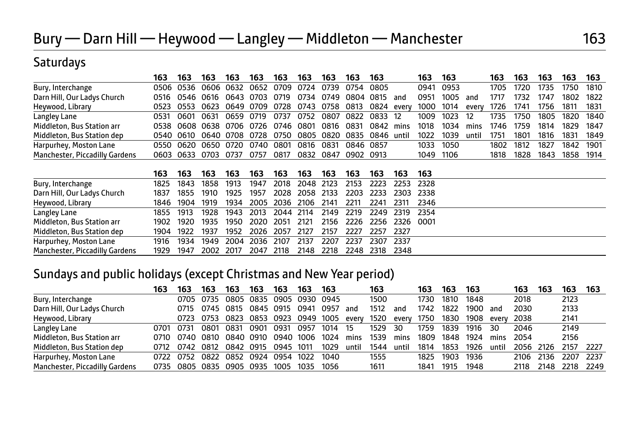## **Saturdays**

|                                | 163  | 163 | 163                                                                | 163 | 163  | 163  | 163 | 163       | 163           | 163       | 163          | 163  |       | 163  | 163  | 163  | 163            | 163  |
|--------------------------------|------|-----|--------------------------------------------------------------------|-----|------|------|-----|-----------|---------------|-----------|--------------|------|-------|------|------|------|----------------|------|
| Bury, Interchange              |      |     | 0506 0536 0606 0632 0652 0709 0724 0739                            |     |      |      |     |           | 0754 0805     |           | 0941 0953    |      |       | 1705 | 1720 | 1735 | 1750           | 1810 |
| Darn Hill, Our Ladys Church    | 0516 |     | 0546 0616 0643 0703 0719 0734 0749                                 |     |      |      |     |           | 0804 0815 and |           | 0951         | 1005 | and   | 1717 | 1732 | 1747 | 1802           | 1822 |
| Heywood, Library               | 0523 |     | 0553 0623 0649 0709 0728 0743 0758 0813 0824 every 1000 1014 every |     |      |      |     |           |               |           |              |      |       | 1726 | 1741 | 1756 | 1811 1831      |      |
| Langley Lane                   | 0531 |     | 0601 0631 0659 0719 0737 0752 0807 0822 0833 12                    |     |      |      |     |           |               |           | 1009 1023 12 |      |       | 1735 | 1750 |      | 1805 1820 1840 |      |
| Middleton, Bus Station arr     |      |     | 0538 0608 0638 0706 0726 0746 0801 0816 0831                       |     |      |      |     |           |               | 0842 mins | 1018         | 1034 | mins  | 1746 | 1759 | 1814 | 1829           | 1847 |
| Middleton, Bus Station dep     |      |     | 0540 0610 0640 0708 0728 0750 0805 0820 0835 0846 until            |     |      |      |     |           |               |           | 1022         | 1039 | until | 1751 | 1801 | 1816 | 1831 1849      |      |
| Harpurhey, Moston Lane         |      |     | 0550 0620 0650 0720 0740 0801 0816 0831                            |     |      |      |     |           | 0846 0857     |           | 1033 1050    |      |       | 1802 | 1812 | 1827 | 1842 1901      |      |
| Manchester, Piccadilly Gardens |      |     | 0603 0633 0703 0737                                                |     | 0757 | 0817 |     | 0832 0847 | 0902 0913     |           | 1049 1106    |      |       | 1818 | 1828 |      | 1843 1858 1914 |      |

|                                | 163  | 163       | 163                                                    | 163 | 163 | 163                 | 163  | 163  | 163  | 163            | 163                      | -163 |
|--------------------------------|------|-----------|--------------------------------------------------------|-----|-----|---------------------|------|------|------|----------------|--------------------------|------|
| Bury, Interchange              |      |           | 1825 1843 1858 1913                                    |     |     | 1947 2018 2048 2123 |      |      |      |                | 2153 2223 2253 2328      |      |
| Darn Hill, Our Ladys Church    | 1837 |           | 1855 1910 1925 1957 2028 2058 2133 2203 2233 2303 2338 |     |     |                     |      |      |      |                |                          |      |
| Heywood, Library               |      |           | 1846 1904 1919 1934 2005 2036 2106 2141                |     |     |                     |      |      | 2211 |                | 2241 2311 2346           |      |
| Langley Lane                   |      | 1855 1913 | 1928 1943 2013 2044 2114 2149 2219 2249 2319 2354      |     |     |                     |      |      |      |                |                          |      |
| Middleton, Bus Station arr     |      |           | 1902 1920 1935 1950 2020 2051 2121                     |     |     |                     |      |      |      |                | 2156 2226 2256 2326 0001 |      |
| Middleton, Bus Station dep     |      |           | 1904 1922 1937 1952 2026 2057 2127                     |     |     |                     |      | 2157 | 2227 | 2257 2327      |                          |      |
| Harpurhey, Moston Lane         | 1916 |           | 1934 1949 2004 2036 2107                               |     |     |                     | 2137 | 2207 | 2237 | 2307 2337      |                          |      |
| Manchester, Piccadilly Gardens |      |           | 1929 1947 2002 2017 2047 2118                          |     |     |                     | 2148 | 2218 |      | 2248 2318 2348 |                          |      |

### Sundays and public holidays (except Christmas and New Year period)

|                                       | 163  | 163  | 163            | 163                           | 163       | 163  | 163  | 163  |       | 163  |       | 163  | 163  | 163  |       | 163       | 163  | 163  | 163  |
|---------------------------------------|------|------|----------------|-------------------------------|-----------|------|------|------|-------|------|-------|------|------|------|-------|-----------|------|------|------|
| Bury, Interchange                     |      | 0705 | 0735           | 0805                          | 0835      | 0905 | 0930 | 0945 |       | 1500 |       | 1730 | 1810 | 1848 |       | 2018      |      | 2123 |      |
| Darn Hill, Our Ladys Church           |      | 0715 | 0745 0815      |                               | 0845 0915 |      | 0941 | 0957 | and   | 1512 | and   | 1742 | 1822 | 1900 | and   | 2030      |      | 2133 |      |
| Heywood, Library                      |      | 0723 |                | 0753 0823 0853 0923 0949 1005 |           |      |      |      | every | 1520 | everv | 1750 | 1830 | 1908 | every | 2038      |      | 2141 |      |
| Langley Lane                          | 0701 | 0731 | 0801           | 0831                          | 0901      | 0931 | 0957 | 1014 | 15    | 1529 | 30    | 1759 | 1839 | 1916 | 30    | 2046      |      | 2149 |      |
| Middleton, Bus Station arr            | 0710 | 0740 | 0810           | 0840 0910                     |           | 0940 | 1006 | 1024 | mins  | 1539 | mins  | 1809 | 1848 | 1924 | mins  | 2054      |      | 2156 |      |
| Middleton, Bus Station dep            | 0712 |      |                | 0742 0812 0842 0915           |           | 0945 | 1011 | 1029 | until | 1544 | until | 1814 | 1853 | 1926 | until | 2056 2126 |      | 2157 | 2227 |
| Harpurhey, Moston Lane                | 0722 | 0752 | 0822 0852      |                               | 0924      | 0954 | 1022 | 1040 |       | 1555 |       | 1825 | 1903 | 1936 |       | 2106      | 2136 | 2207 | 2237 |
| <b>Manchester, Piccadilly Gardens</b> | 0735 |      | 0805 0835 0905 |                               | 0935      | 1005 | 1035 | 1056 |       | 1611 |       | 1841 | 1915 | 1948 |       | 2118      | 2148 | 2218 | 2249 |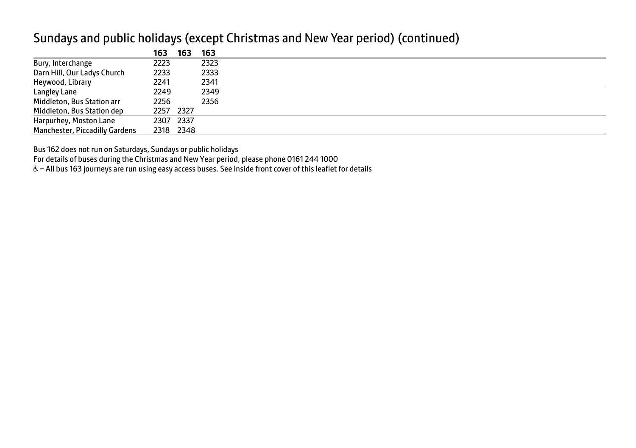|                                | 163  | 163       | 163  |
|--------------------------------|------|-----------|------|
| Bury, Interchange              | 2223 |           | 2323 |
| Darn Hill, Our Ladys Church    | 2233 |           | 2333 |
| Heywood, Library               | 2241 |           | 2341 |
| Langley Lane                   | 2249 |           | 2349 |
| Middleton, Bus Station arr     | 2256 |           | 2356 |
| Middleton, Bus Station dep     |      | 2257 2327 |      |
| Harpurhey, Moston Lane         |      | 2307 2337 |      |
| Manchester, Piccadilly Gardens |      | 2318 2348 |      |

### Sundays and public holidays (except Christmas and New Year period) (continued)

Bus 162 does not run on Saturdays, Sundays or public holidays

For details of buses during the Christmas and New Year period, please phone 0161 244 1000

& - All bus 163 journeys are run using easy access buses. See inside front cover of this leaflet for details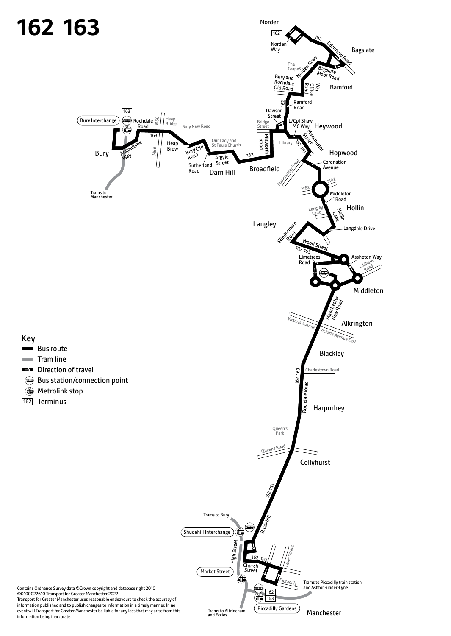

information being inaccurate.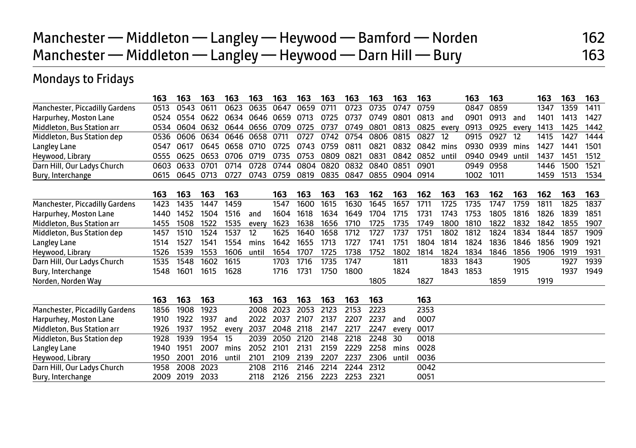# Manchester — Middleton — Langley — Heywood — Bamford — Norden 162 Manchester — Middleton — Langley — Heywood — Darn Hill — Bury 163

# Mondays to Fridays

|                                       | 163  | 163              | 163  | 163   | 163   | 163       | 163  | 163  | 163  | 163  | 163   | 163  |       | 163  | 163  |       | 163  | 163  | 163  |
|---------------------------------------|------|------------------|------|-------|-------|-----------|------|------|------|------|-------|------|-------|------|------|-------|------|------|------|
| <b>Manchester, Piccadilly Gardens</b> | 0513 | 0543             | 0611 | 0623  | 0635  | 0647      | 0659 | 0711 | 0723 | 0735 | 0747  | 0759 |       | 0847 | 0859 |       | 1347 | 1359 | 1411 |
| Harpurhey, Moston Lane                | 0524 | 0554             | 0622 | 0634  |       | 0646 0659 | 0713 | 0725 | 0737 | 0749 | 0801  | 0813 | and   | 0901 | 0913 | and   | 1401 | 1413 | 1427 |
| Middleton, Bus Station arr            | 0534 | 0604             | 0632 | 0644  | 0656  | 0709      | 0725 | 0737 | 0749 | 0801 | 0813  | 0825 | every | 0913 | 0925 | every | 1413 | 1425 | 1442 |
| Middleton, Bus Station dep            | 0536 | 0606             | 0634 | 0646  | 0658  | 0711      | 0727 | 0742 | 0754 | 0806 | 0815  | 0827 | 12    | 0915 | 0927 | 12    | 1415 | 1427 | 1444 |
| Langley Lane                          | 0547 | 0617             | 0645 | 0658  | 0710  | 0725      | 0743 | 0759 | 0811 | 0821 | 0832  | 0842 | mins  | 0930 | 0939 | mins  | 1427 | 1441 | 1501 |
| Heywood, Library                      | 0555 | 0625             | 0653 | 0706  | 0719  | 0735      | 0753 | 0809 | 0821 | 0831 | 0842  | 0852 | until | 0940 | 0949 | until | 1437 | 1451 | 1512 |
| Darn Hill, Our Ladys Church           | 0603 | 0633             | 0701 | 0714  | 0728  | 0744      | 0804 | 0820 | 0832 | 0840 | 0851  | 0901 |       | 0949 | 0958 |       | 1446 | 1500 | 1521 |
| Bury, Interchange                     | 0615 | 0645             | 0713 | 0727  | 0743  | 0759      | 0819 | 0835 | 0847 | 0855 | 0904  | 0914 |       | 1002 | 1011 |       | 1459 | 1513 | 1534 |
|                                       | 163  | 163              | 163  | 163   |       | 163       | 163  | 163  | 163  | 162  | 163   | 162  | 163   | 163  | 162  | 163   | 162  | 163  | 163  |
| <b>Manchester, Piccadilly Gardens</b> | 1423 | 1435             | 1447 | 1459  |       | 1547      | 1600 | 1615 | 1630 | 1645 | 1657  | 1711 | 1725  | 1735 | 1747 | 1759  | 1811 | 1825 | 1837 |
| Harpurhey, Moston Lane                | 1440 | 1452             | 1504 | 1516  | and   | 1604      | 1618 | 1634 | 1649 | 1704 | 1715  | 1731 | 1743  | 1753 | 1805 | 1816  | 1826 | 1839 | 1851 |
| Middleton, Bus Station arr            | 1455 | 1508             | 1522 | 1535  | every | 1623      | 1638 | 1656 | 1710 | 1725 | 1735  | 1749 | 1800  | 1810 | 1822 | 1832  | 1842 | 1855 | 1907 |
| Middleton, Bus Station dep            | 1457 | 1510             | 1524 | 1537  | 12    | 1625      | 1640 | 1658 | 1712 | 1727 | 1737  | 1751 | 1802  | 1812 | 1824 | 1834  | 1844 | 1857 | 1909 |
| Langley Lane                          | 1514 | 1527             | 1541 | 1554  | mins  | 1642      | 1655 | 1713 | 1727 | 1741 | 1751  | 1804 | 1814  | 1824 | 1836 | 1846  | 1856 | 1909 | 1921 |
| Heywood, Library                      | 1526 | 1539             | 1553 | 1606  | until | 1654      | 1707 | 1725 | 1738 | 1752 | 1802  | 1814 | 1824  | 1834 | 1846 | 1856  | 1906 | 1919 | 1931 |
| Darn Hill, Our Ladys Church           | 1535 | 1548             | 1602 | 1615  |       | 1703      | 1716 | 1735 | 1747 |      | 1811  |      | 1833  | 1843 |      | 1905  |      | 1927 | 1939 |
| Bury, Interchange                     | 1548 | 1601             | 1615 | 1628  |       | 1716      | 1731 | 1750 | 1800 |      | 1824  |      | 1843  | 1853 |      | 1915  |      | 1937 | 1949 |
| Norden, Norden Way                    |      |                  |      |       |       |           |      |      |      | 1805 |       | 1827 |       |      | 1859 |       | 1919 |      |      |
|                                       | 163  | 163              | 163  |       | 163   | 163       | 163  | 163  | 163  | 163  |       | 163  |       |      |      |       |      |      |      |
| <b>Manchester, Piccadilly Gardens</b> | 1856 | 1908             | 1923 |       | 2008  | 2023      | 2053 | 2123 | 2153 | 2223 |       | 2353 |       |      |      |       |      |      |      |
| Harpurhey, Moston Lane                | 1910 | 1922             | 1937 | and   | 2022  | 2037      | 2107 | 2137 | 2207 | 2237 | and   | 0007 |       |      |      |       |      |      |      |
| Middleton, Bus Station arr            | 1926 | 1937             | 1952 | every | 2037  | 2048      | 2118 | 2147 | 2217 | 2247 | every | 0017 |       |      |      |       |      |      |      |
| Middleton, Bus Station dep            | 1928 | 1939             | 1954 | 15    | 2039  | 2050      | 2120 | 2148 | 2218 | 2248 | 30    | 0018 |       |      |      |       |      |      |      |
| Langley Lane                          | 1940 | 1951             | 2007 | mins  | 2052  | 2101      | 2131 | 2159 | 2229 | 2258 | mins  | 0028 |       |      |      |       |      |      |      |
| Heywood, Library                      | 1950 | 200 <sup>-</sup> | 2016 | until | 2101  | 2109      | 2139 | 2207 | 2237 | 2306 | until | 0036 |       |      |      |       |      |      |      |
| Darn Hill, Our Ladys Church           | 1958 | 2008             | 2023 |       | 2108  | 2116      | 2146 | 2214 | 2244 | 2312 |       | 0042 |       |      |      |       |      |      |      |
| Bury, Interchange                     | 2009 | 2019             | 2033 |       | 2118  | 2126      | 2156 | 2223 | 2253 | 2321 |       | 0051 |       |      |      |       |      |      |      |
|                                       |      |                  |      |       |       |           |      |      |      |      |       |      |       |      |      |       |      |      |      |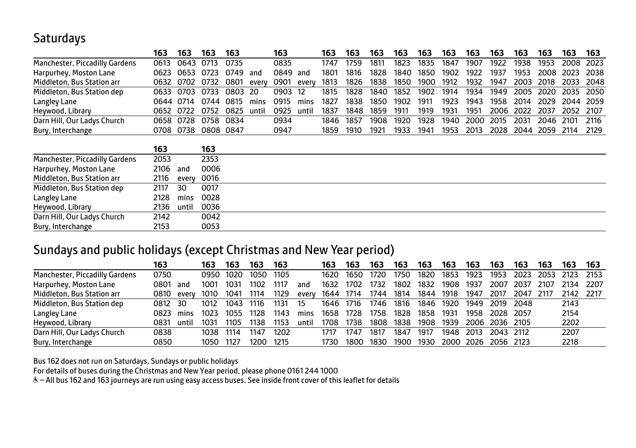## **Saturdays**

|                                | 163  | 163       | 163       | 163     |       | 163  |       | 163  | 163  | 163  | 163  | 163  | 163  | 163  | 163  | 163  | 163  | 163  | 163  |
|--------------------------------|------|-----------|-----------|---------|-------|------|-------|------|------|------|------|------|------|------|------|------|------|------|------|
| Manchester, Piccadilly Gardens | 0613 | 0643      | 0713      | 0735    |       | 0835 |       | 1747 | 1759 | 1811 | 1823 | 1835 | 1847 | 1907 | 1922 | 1938 | 1953 | 2008 | 2023 |
| Harpurhey, Moston Lane         | 0623 | 0653      | 0723      | 0749    | and   | 0849 | and   | 1801 | 1816 | 1828 | 1840 | 1850 | 1902 | 1922 | 1937 | 1953 | 2008 | 2023 | 2038 |
| Middleton, Bus Station arr     | 0632 | 0702      | 0732      | 0801    | every | 0901 | every | 1813 | 1826 | 1838 | 1850 | 1900 | 1912 | 1932 | 1947 | 2003 | 2018 | 2033 | 2048 |
| Middleton, Bus Station dep     | 0633 | 0703      | 0733      | 0803 20 |       | 0903 | 12    | 1815 | 1828 | 1840 | 1852 | 1902 | 1914 | 1934 | 1949 | 2005 | 2020 | 2035 | 2050 |
| Langley Lane                   |      | 0644 0714 | 0744      | 0815    | mins  | 0915 | mins  | 1827 | 1838 | 1850 | 1902 | 1911 | 1923 | 1943 | 1958 | 2014 | 2029 | 2044 | 2059 |
| Heywood, Library               | 0652 | 0722      | 0752      | 0825    | until | 0925 | until | 1837 | 1848 | 1859 | 1911 | 1919 | 1931 | 1951 | 2006 | 2022 | 2037 | 2052 | 2107 |
| Darn Hill, Our Ladys Church    | 0658 | 0728      | 0758      | 0834    |       | 0934 |       | 1846 | 1857 | 1908 | 1920 | 1928 | 1940 | 2000 | 2015 | 2031 | 2046 | 2101 | 2116 |
| Bury, Interchange              | 0708 | 0738      | 0808 0847 |         |       | 0947 |       | 1859 | 1910 | 1921 | 1933 | 1941 | 1953 | 2013 | 2028 | 2044 | 2059 | 2114 | 2129 |
|                                |      |           |           |         |       |      |       |      |      |      |      |      |      |      |      |      |      |      |      |
|                                | 163  |           | 163       |         |       |      |       |      |      |      |      |      |      |      |      |      |      |      |      |
| Manchester, Piccadilly Gardens | 2053 |           | 2353      |         |       |      |       |      |      |      |      |      |      |      |      |      |      |      |      |
| Harpurhey, Moston Lane         | 2106 | and       | 0006      |         |       |      |       |      |      |      |      |      |      |      |      |      |      |      |      |
| Middleton, Bus Station arr     | 2116 | every     | 0016      |         |       |      |       |      |      |      |      |      |      |      |      |      |      |      |      |
| Middleton, Bus Station dep     | 2117 | 30        | 0017      |         |       |      |       |      |      |      |      |      |      |      |      |      |      |      |      |
| Langley Lane                   | 2128 | mins      | 0028      |         |       |      |       |      |      |      |      |      |      |      |      |      |      |      |      |
| Heywood, Library               | 2136 | until     | 0036      |         |       |      |       |      |      |      |      |      |      |      |      |      |      |      |      |
| Darn Hill, Our Ladys Church    | 2142 |           | 0042      |         |       |      |       |      |      |      |      |      |      |      |      |      |      |      |      |
| Bury, Interchange              | 2153 |           | 0053      |         |       |      |       |      |      |      |      |      |      |      |      |      |      |      |      |

### Sundays and public holidays (except Christmas and New Year period)

|                                | 163  |       | 163  | 163  | 163   | 163  |       | 163  | 163  | 163  | 163  | 163  | 163  | 163  | 163            | 163   | 163    | 163       | 163    |
|--------------------------------|------|-------|------|------|-------|------|-------|------|------|------|------|------|------|------|----------------|-------|--------|-----------|--------|
| Manchester, Piccadilly Gardens | 0750 |       | 0950 | 1020 | 1050  | 1105 |       | 1620 | 1650 | 1720 | 1750 | 1820 | 1853 | 1923 | 1953           | 2023  | 2053   | -2123     | - 2153 |
| Harpurhey, Moston Lane         | 0801 | and   | 1001 | 1031 | 1102  | 1117 | and   | 1632 | 1702 | 1732 | 1802 | 1832 | 1908 | 1937 | 2007           | 2037  | 2107   | 2134      | -2207  |
| Middleton, Bus Station arr     | 0810 | every | 1010 | 1041 | 1114  | 1129 | every | 1644 | 1714 | 1744 | 1814 | 1844 | 1918 | 1947 | 2017           | 2047  | - 2117 | 2142 2217 |        |
| Middleton, Bus Station dep     | 0812 | 30    | 1012 | 1043 | 1116  | 1131 | 15    | 1646 | 1716 | 1746 | 1816 | 1846 | 1920 | 1949 | 2019           | 2048  |        | 2143      |        |
| Langley Lane                   | 0823 | mins  | 1023 | 1055 | 1128  | 1143 | mins  | 1658 | 1728 | 1758 | 1828 | 1858 | 1931 | 1958 | 2028           | -2057 |        | 2154      |        |
| Heywood, Library               | 0831 | until | 1031 | 1105 | 1138. | 1153 | until | 1708 | 1738 | 1808 | 1838 | 1908 | 1939 |      | 2006 2036 2105 |       |        | 2202      |        |
| Darn Hill, Our Ladys Church    | 0838 |       | 1038 | 1114 | 1147  | 1202 |       | 1717 | 1747 | 1817 | 1847 | 1917 | 1948 | 2013 | 2043 2112      |       |        | 2207      |        |
| Bury, Interchange              | 0850 |       | 1050 | 1127 | 1200. | 1215 |       | 1730 | 1800 | 1830 | 1900 | 1930 | 2000 | 2026 | 2056 2123      |       |        | 2218      |        |

Bus 162 does not run on Saturdays, Sundays or public holidays

For details of buses during the Christmas and New Year period, please phone 0161 244 1000

& - All bus 162 and 163 journeys are run using easy access buses. See inside front cover of this leaflet for details